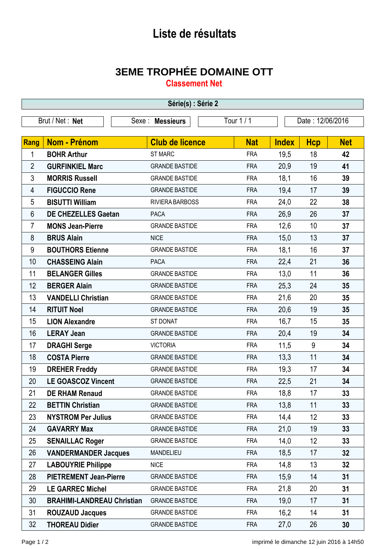## **Liste de résultats**

## **3EME TROPHÉE DOMAINE OTT**

**Classement Net**

| Série(s) : Série 2 |                                   |                        |            |                  |            |            |  |  |  |  |
|--------------------|-----------------------------------|------------------------|------------|------------------|------------|------------|--|--|--|--|
|                    | Brut / Net: Net                   | Sexe : Messieurs       | Tour 1/1   | Date: 12/06/2016 |            |            |  |  |  |  |
|                    |                                   |                        |            |                  |            |            |  |  |  |  |
| <b>Rang</b>        | <b>Nom - Prénom</b>               | <b>Club de licence</b> | <b>Nat</b> | <b>Index</b>     | <b>Hcp</b> | <b>Net</b> |  |  |  |  |
| 1                  | <b>BOHR Arthur</b>                | <b>ST MARC</b>         | <b>FRA</b> | 19,5             | 18         | 42         |  |  |  |  |
| $\overline{2}$     | <b>GURFINKIEL Marc</b>            | <b>GRANDE BASTIDE</b>  | <b>FRA</b> | 20,9             | 19         | 41         |  |  |  |  |
| 3                  | <b>MORRIS Russell</b>             | <b>GRANDE BASTIDE</b>  | <b>FRA</b> | 18,1             | 16         | 39         |  |  |  |  |
| 4                  | <b>FIGUCCIO Rene</b>              | <b>GRANDE BASTIDE</b>  | <b>FRA</b> | 19,4             | 17         | 39         |  |  |  |  |
| 5                  | <b>BISUTTI William</b>            | RIVIERA BARBOSS        | <b>FRA</b> | 24,0             | 22         | 38         |  |  |  |  |
| 6                  | <b>DE CHEZELLES Gaetan</b>        | <b>PACA</b>            | <b>FRA</b> | 26,9             | 26         | 37         |  |  |  |  |
| $\overline{7}$     | <b>MONS Jean-Pierre</b>           | <b>GRANDE BASTIDE</b>  | <b>FRA</b> | 12,6             | 10         | 37         |  |  |  |  |
| 8                  | <b>BRUS Alain</b>                 | <b>NICE</b>            | <b>FRA</b> | 15,0             | 13         | 37         |  |  |  |  |
| 9                  | <b>BOUTHORS Etienne</b>           | <b>GRANDE BASTIDE</b>  | <b>FRA</b> | 18,1             | 16         | 37         |  |  |  |  |
| 10                 | <b>CHASSEING Alain</b>            | <b>PACA</b>            | <b>FRA</b> | 22,4             | 21         | 36         |  |  |  |  |
| 11                 | <b>BELANGER Gilles</b>            | <b>GRANDE BASTIDE</b>  | <b>FRA</b> | 13,0             | 11         | 36         |  |  |  |  |
| 12                 | <b>BERGER Alain</b>               | <b>GRANDE BASTIDE</b>  | <b>FRA</b> | 25,3             | 24         | 35         |  |  |  |  |
| 13                 | <b>VANDELLI Christian</b>         | <b>GRANDE BASTIDE</b>  | <b>FRA</b> | 21,6             | 20         | 35         |  |  |  |  |
| 14                 | <b>RITUIT Noel</b>                | <b>GRANDE BASTIDE</b>  | <b>FRA</b> | 20,6             | 19         | 35         |  |  |  |  |
| 15                 | <b>LION Alexandre</b>             | ST DONAT               | <b>FRA</b> | 16,7             | 15         | 35         |  |  |  |  |
| 16                 | <b>LERAY Jean</b>                 | <b>GRANDE BASTIDE</b>  | <b>FRA</b> | 20,4             | 19         | 34         |  |  |  |  |
| 17                 | <b>DRAGHI Serge</b>               | <b>VICTORIA</b>        | <b>FRA</b> | 11,5             | 9          | 34         |  |  |  |  |
| 18                 | <b>COSTA Pierre</b>               | <b>GRANDE BASTIDE</b>  | <b>FRA</b> | 13,3             | 11         | 34         |  |  |  |  |
| 19                 | <b>DREHER Freddy</b>              | <b>GRANDE BASTIDE</b>  | <b>FRA</b> | 19,3             | 17         | 34         |  |  |  |  |
| 20                 | <b>LE GOASCOZ Vincent</b>         | <b>GRANDE BASTIDE</b>  | <b>FRA</b> | 22,5             | 21         | 34         |  |  |  |  |
| 21                 | <b>DE RHAM Renaud</b>             | <b>GRANDE BASTIDE</b>  | <b>FRA</b> | 18,8             | 17         | 33         |  |  |  |  |
| 22                 | <b>BETTIN Christian</b>           | <b>GRANDE BASTIDE</b>  | <b>FRA</b> | 13,8             | 11         | 33         |  |  |  |  |
| 23                 | <b>NYSTROM Per Julius</b>         | <b>GRANDE BASTIDE</b>  | <b>FRA</b> | 14,4             | 12         | 33         |  |  |  |  |
| 24                 | <b>GAVARRY Max</b>                | <b>GRANDE BASTIDE</b>  | <b>FRA</b> | 21,0             | 19         | 33         |  |  |  |  |
| 25                 | <b>SENAILLAC Roger</b>            | <b>GRANDE BASTIDE</b>  | <b>FRA</b> | 14,0             | 12         | 33         |  |  |  |  |
| 26                 | <b>VANDERMANDER Jacques</b>       | MANDELIEU              | <b>FRA</b> | 18,5             | 17         | 32         |  |  |  |  |
| 27                 | <b>LABOUYRIE Philippe</b>         | <b>NICE</b>            | <b>FRA</b> | 14,8             | 13         | 32         |  |  |  |  |
| 28                 | <b>PIETREMENT Jean-Pierre</b>     | <b>GRANDE BASTIDE</b>  | <b>FRA</b> | 15,9             | 14         | 31         |  |  |  |  |
| 29                 | <b>LE GARREC Michel</b>           | <b>GRANDE BASTIDE</b>  | <b>FRA</b> | 21,8             | 20         | 31         |  |  |  |  |
| 30                 | <b>BRAHIMI-LANDREAU Christian</b> | <b>GRANDE BASTIDE</b>  | <b>FRA</b> | 19,0             | 17         | 31         |  |  |  |  |
| 31                 | <b>ROUZAUD Jacques</b>            | <b>GRANDE BASTIDE</b>  | <b>FRA</b> | 16,2             | 14         | 31         |  |  |  |  |
| 32                 | <b>THOREAU Didier</b>             | <b>GRANDE BASTIDE</b>  | <b>FRA</b> | 27,0             | 26         | 30         |  |  |  |  |